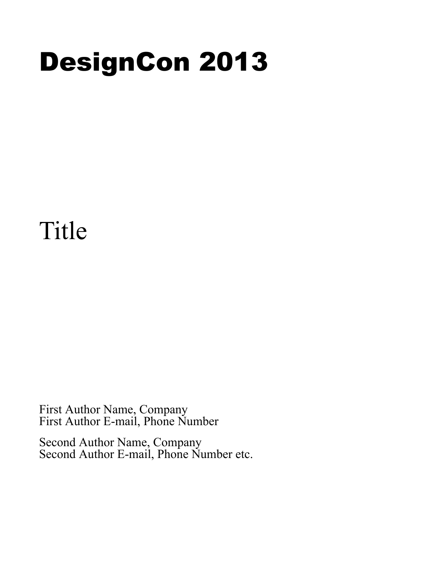# DesignCon 2013

# Title

First Author Name, Company First Author E-mail, Phone Number

Second Author Name, Company Second Author E-mail, Phone Number etc.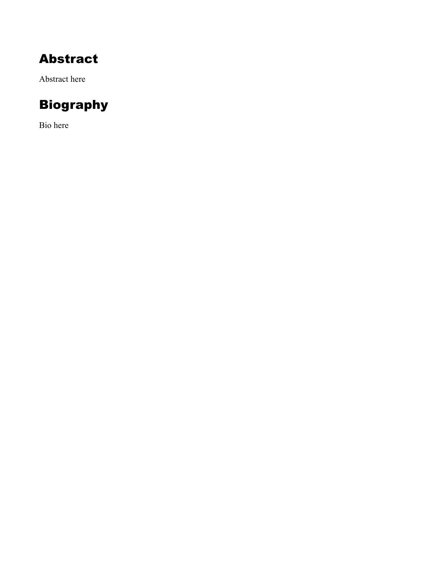## Abstract

Abstract here

# Biography

Bio here